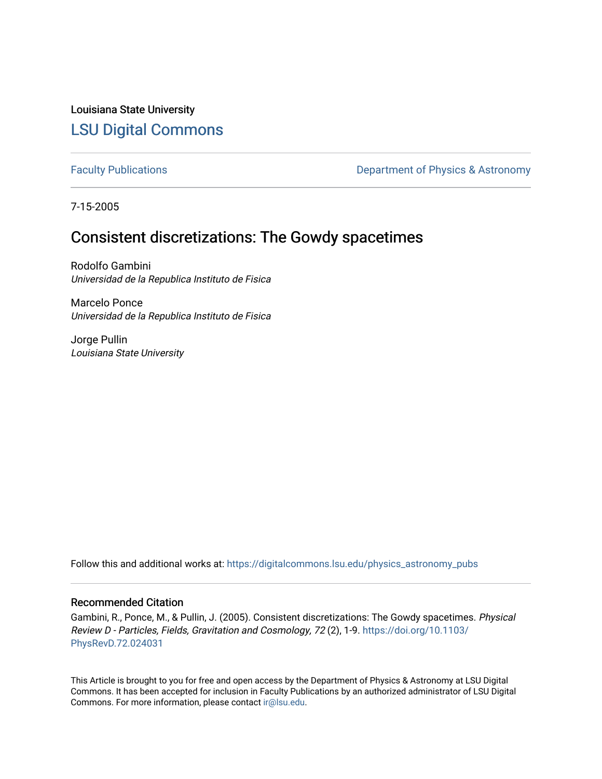Louisiana State University [LSU Digital Commons](https://digitalcommons.lsu.edu/)

[Faculty Publications](https://digitalcommons.lsu.edu/physics_astronomy_pubs) **Exercise 2 and Table 2 and Table 2 and Table 2 and Table 2 and Table 2 and Table 2 and Table 2 and Table 2 and Table 2 and Table 2 and Table 2 and Table 2 and Table 2 and Table 2 and Table 2 and Table** 

7-15-2005

# Consistent discretizations: The Gowdy spacetimes

Rodolfo Gambini Universidad de la Republica Instituto de Fisica

Marcelo Ponce Universidad de la Republica Instituto de Fisica

Jorge Pullin Louisiana State University

Follow this and additional works at: [https://digitalcommons.lsu.edu/physics\\_astronomy\\_pubs](https://digitalcommons.lsu.edu/physics_astronomy_pubs?utm_source=digitalcommons.lsu.edu%2Fphysics_astronomy_pubs%2F4378&utm_medium=PDF&utm_campaign=PDFCoverPages) 

# Recommended Citation

Gambini, R., Ponce, M., & Pullin, J. (2005). Consistent discretizations: The Gowdy spacetimes. Physical Review D - Particles, Fields, Gravitation and Cosmology, 72 (2), 1-9. [https://doi.org/10.1103/](https://doi.org/10.1103/PhysRevD.72.024031) [PhysRevD.72.024031](https://doi.org/10.1103/PhysRevD.72.024031)

This Article is brought to you for free and open access by the Department of Physics & Astronomy at LSU Digital Commons. It has been accepted for inclusion in Faculty Publications by an authorized administrator of LSU Digital Commons. For more information, please contact [ir@lsu.edu](mailto:ir@lsu.edu).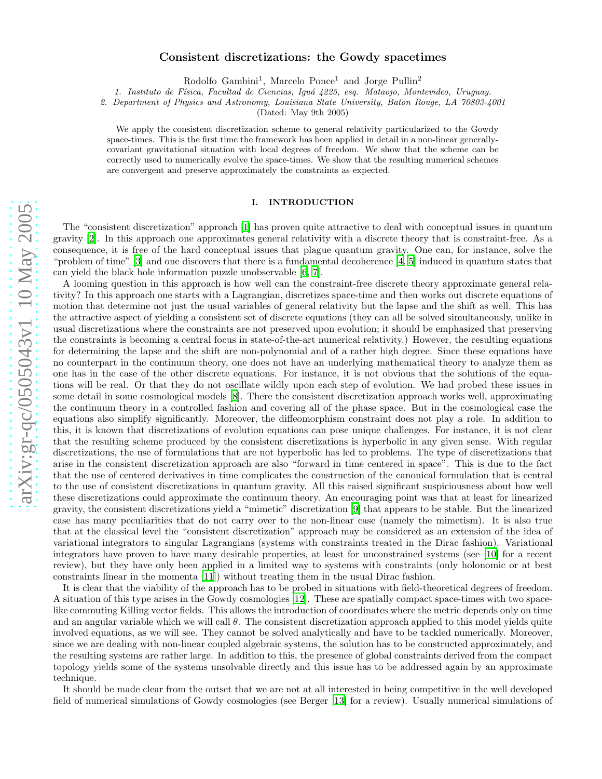# arXiv:gr-qc/0505043v1 10 May 2005 [arXiv:gr-qc/0505043v1 10 May 2005](http://arxiv.org/abs/gr-qc/0505043v1)

## Consistent discretizations: the Gowdy spacetimes

Rodolfo Gambini 1 , Marcelo Ponce <sup>1</sup> and Jorge Pullin 2

1. Instituto de Física, Facultad de Ciencias, Iguá 4225, esq. Mataojo, Montevideo, Uruguay.

2. Department of Physics and Astronomy, Louisiana State University, Baton Rouge, LA 70803-4001

(Dated: May 9th 2005)

We apply the consistent discretization scheme to general relativity particularized to the Gowdy space-times. This is the first time the framework has been applied in detail in a non-linear generallycovariant gravitational situation with local degrees of freedom. We show that the scheme can be correctly used to numerically evolve the space-times. We show that the resulting numerical schemes are convergent and preserve approximately the constraints as expected.

### I. INTRODUCTION

The "consistent discretization" approach [\[1\]](#page-10-0) has proven quite attractive to deal with conceptual issues in quantum gravity [\[2\]](#page-10-1). In this approach one approximates general relativity with a discrete theory that is constraint-free. As a consequence, it is free of the hard conceptual issues that plague quantum gravity. One can, for instance, solve the "problem of time" [\[3](#page-10-2)] and one discovers that there is a fundamental decoherence [\[4](#page-10-3), [5\]](#page-10-4) induced in quantum states that can yield the black hole information puzzle unobservable [\[6](#page-10-5), [7](#page-10-6)].

A looming question in this approach is how well can the constraint-free discrete theory approximate general relativity? In this approach one starts with a Lagrangian, discretizes space-time and then works out discrete equations of motion that determine not just the usual variables of general relativity but the lapse and the shift as well. This has the attractive aspect of yielding a consistent set of discrete equations (they can all be solved simultaneously, unlike in usual discretizations where the constraints are not preserved upon evolution; it should be emphasized that preserving the constraints is becoming a central focus in state-of-the-art numerical relativity.) However, the resulting equations for determining the lapse and the shift are non-polynomial and of a rather high degree. Since these equations have no counterpart in the continuum theory, one does not have an underlying mathematical theory to analyze them as one has in the case of the other discrete equations. For instance, it is not obvious that the solutions of the equations will be real. Or that they do not oscillate wildly upon each step of evolution. We had probed these issues in some detail in some cosmological models [\[8\]](#page-10-7). There the consistent discretization approach works well, approximating the continuum theory in a controlled fashion and covering all of the phase space. But in the cosmological case the equations also simplify significantly. Moreover, the diffeomorphism constraint does not play a role. In addition to this, it is known that discretizations of evolution equations can pose unique challenges. For instance, it is not clear that the resulting scheme produced by the consistent discretizations is hyperbolic in any given sense. With regular discretizations, the use of formulations that are not hyperbolic has led to problems. The type of discretizations that arise in the consistent discretization approach are also "forward in time centered in space". This is due to the fact that the use of centered derivatives in time complicates the construction of the canonical formulation that is central to the use of consistent discretizations in quantum gravity. All this raised significant suspiciousness about how well these discretizations could approximate the continuum theory. An encouraging point was that at least for linearized gravity, the consistent discretizations yield a "mimetic" discretization [\[9](#page-10-8)] that appears to be stable. But the linearized case has many peculiarities that do not carry over to the non-linear case (namely the mimetism). It is also true that at the classical level the "consistent discretization" approach may be considered as an extension of the idea of variational integrators to singular Lagrangians (systems with constraints treated in the Dirac fashion). Variational integrators have proven to have many desirable properties, at least for unconstrained systems (see [\[10\]](#page-10-9) for a recent review), but they have only been applied in a limited way to systems with constraints (only holonomic or at best constraints linear in the momenta [\[11\]](#page-10-10)) without treating them in the usual Dirac fashion.

It is clear that the viability of the approach has to be probed in situations with field-theoretical degrees of freedom. A situation of this type arises in the Gowdy cosmologies [\[12\]](#page-10-11). These are spatially compact space-times with two spacelike commuting Killing vector fields. This allows the introduction of coordinates where the metric depends only on time and an angular variable which we will call  $\theta$ . The consistent discretization approach applied to this model yields quite involved equations, as we will see. They cannot be solved analytically and have to be tackled numerically. Moreover, since we are dealing with non-linear coupled algebraic systems, the solution has to be constructed approximately, and the resulting systems are rather large. In addition to this, the presence of global constraints derived from the compact topology yields some of the systems unsolvable directly and this issue has to be addressed again by an approximate technique.

It should be made clear from the outset that we are not at all interested in being competitive in the well developed field of numerical simulations of Gowdy cosmologies (see Berger [\[13](#page-10-12)] for a review). Usually numerical simulations of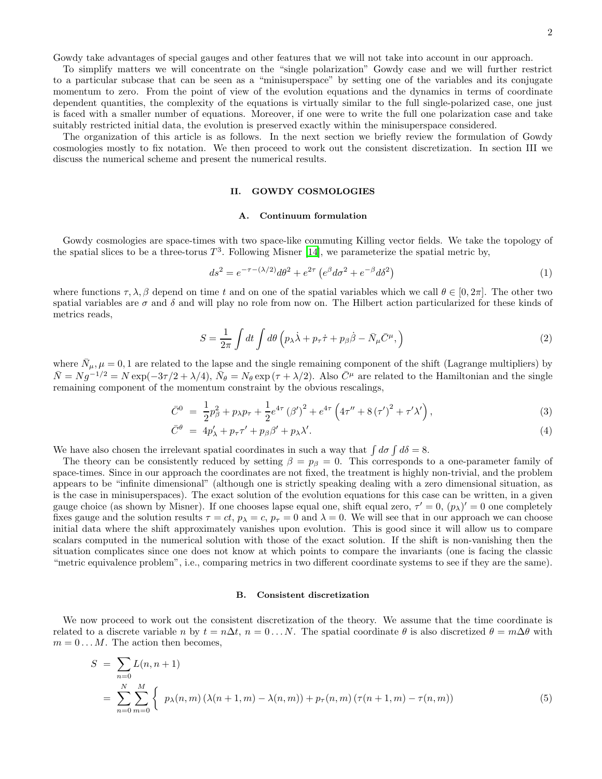Gowdy take advantages of special gauges and other features that we will not take into account in our approach.

To simplify matters we will concentrate on the "single polarization" Gowdy case and we will further restrict to a particular subcase that can be seen as a "minisuperspace" by setting one of the variables and its conjugate momentum to zero. From the point of view of the evolution equations and the dynamics in terms of coordinate dependent quantities, the complexity of the equations is virtually similar to the full single-polarized case, one just is faced with a smaller number of equations. Moreover, if one were to write the full one polarization case and take suitably restricted initial data, the evolution is preserved exactly within the minisuperspace considered.

The organization of this article is as follows. In the next section we briefly review the formulation of Gowdy cosmologies mostly to fix notation. We then proceed to work out the consistent discretization. In section III we discuss the numerical scheme and present the numerical results.

### II. GOWDY COSMOLOGIES

### A. Continuum formulation

Gowdy cosmologies are space-times with two space-like commuting Killing vector fields. We take the topology of the spatial slices to be a three-torus  $T^3$ . Following Misner [\[14](#page-10-13)], we parameterize the spatial metric by,

$$
ds^2 = e^{-\tau - (\lambda/2)} d\theta^2 + e^{2\tau} \left( e^{\beta} d\sigma^2 + e^{-\beta} d\delta^2 \right)
$$
 (1)

where functions  $\tau, \lambda, \beta$  depend on time t and on one of the spatial variables which we call  $\theta \in [0, 2\pi]$ . The other two spatial variables are  $\sigma$  and  $\delta$  and will play no role from now on. The Hilbert action particularized for these kinds of metrics reads,

<span id="page-2-0"></span>
$$
S = \frac{1}{2\pi} \int dt \int d\theta \left( p_{\lambda} \dot{\lambda} + p_{\tau} \dot{\tau} + p_{\beta} \dot{\beta} - \bar{N}_{\mu} \bar{C}^{\mu}, \right)
$$
 (2)

where  $\bar{N}_{\mu}, \mu = 0, 1$  are related to the lapse and the single remaining component of the shift (Lagrange multipliers) by  $\overline{N} = N g^{-1/2} = N \exp(-3\tau/2 + \lambda/4), \overline{N}_{\theta} = N_{\theta} \exp(\tau + \lambda/2).$  Also  $\overline{C}^{\mu}$  are related to the Hamiltonian and the single remaining component of the momentum constraint by the obvious rescalings,

$$
\bar{C}^0 = \frac{1}{2}p_\beta^2 + p_\lambda p_\tau + \frac{1}{2}e^{4\tau} (\beta')^2 + e^{4\tau} \left(4\tau'' + 8(\tau')^2 + \tau'\lambda'\right),\tag{3}
$$

$$
\bar{C}^{\theta} = 4p'_{\lambda} + p_{\tau}\tau' + p_{\beta}\beta' + p_{\lambda}\lambda'. \tag{4}
$$

We have also chosen the irrelevant spatial coordinates in such a way that  $\int d\sigma \int d\delta = 8$ .

The theory can be consistently reduced by setting  $\beta = p_\beta = 0$ . This corresponds to a one-parameter family of space-times. Since in our approach the coordinates are not fixed, the treatment is highly non-trivial, and the problem appears to be "infinite dimensional" (although one is strictly speaking dealing with a zero dimensional situation, as is the case in minisuperspaces). The exact solution of the evolution equations for this case can be written, in a given gauge choice (as shown by Misner). If one chooses lapse equal one, shift equal zero,  $\tau' = 0$ ,  $(p_\lambda)' = 0$  one completely fixes gauge and the solution results  $\tau = ct$ ,  $p_{\lambda} = c$ ,  $p_{\tau} = 0$  and  $\lambda = 0$ . We will see that in our approach we can choose initial data where the shift approximately vanishes upon evolution. This is good since it will allow us to compare scalars computed in the numerical solution with those of the exact solution. If the shift is non-vanishing then the situation complicates since one does not know at which points to compare the invariants (one is facing the classic "metric equivalence problem", i.e., comparing metrics in two different coordinate systems to see if they are the same).

### B. Consistent discretization

We now proceed to work out the consistent discretization of the theory. We assume that the time coordinate is related to a discrete variable n by  $t = n\Delta t$ ,  $n = 0...N$ . The spatial coordinate  $\theta$  is also discretized  $\theta = m\Delta\theta$  with  $m = 0 \dots M$ . The action then becomes,

$$
S = \sum_{n=0}^{N} L(n, n+1)
$$
  
=  $\sum_{n=0}^{N} \sum_{m=0}^{M} \left\{ p_{\lambda}(n, m) \left( \lambda(n+1, m) - \lambda(n, m) \right) + p_{\tau}(n, m) \left( \tau(n+1, m) - \tau(n, m) \right) \right\}$  (5)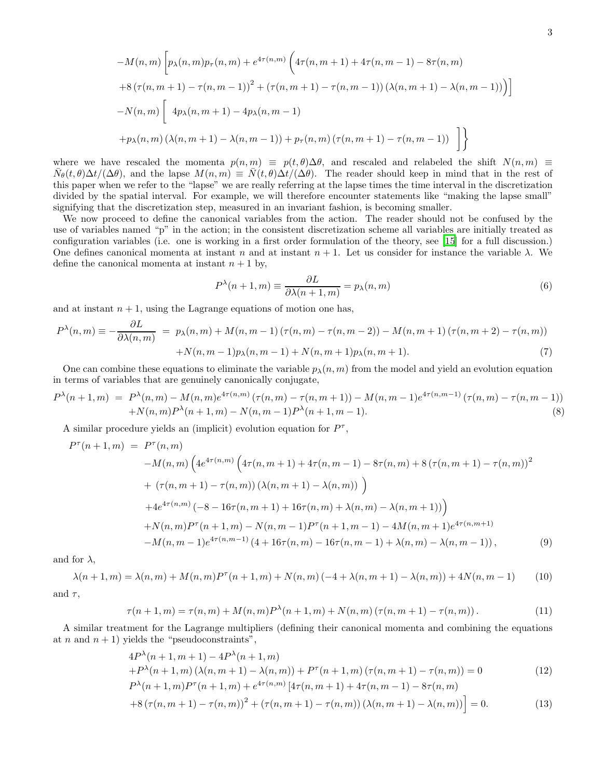$$
-M(n, m) \left[ p_{\lambda}(n, m) p_{\tau}(n, m) + e^{4\tau(n, m)} \left( 4\tau(n, m + 1) + 4\tau(n, m - 1) - 8\tau(n, m) \right) \right]
$$
  
+8\left(\tau(n, m + 1) - \tau(n, m - 1)\right)^{2} + \left(\tau(n, m + 1) - \tau(n, m - 1)\right) \left(\lambda(n, m + 1) - \lambda(n, m - 1)\right) \right]  
-N(n, m) \left[ 4p\_{\lambda}(n, m + 1) - 4p\_{\lambda}(n, m - 1) + p\_{\tau}(n, m) \left( \tau(n, m + 1) - \tau(n, m - 1)\right) \right]   
+ p\_{\lambda}(n, m) \left( \lambda(n, m + 1) - \lambda(n, m - 1)\right) + p\_{\tau}(n, m) \left( \tau(n, m + 1) - \tau(n, m - 1)\right) \right]

where we have rescaled the momenta  $p(n,m) \equiv p(t,\theta)\Delta\theta$ , and rescaled and relabeled the shift  $N(n,m) \equiv$  $\bar{N}_{\theta}(t,\theta)\Delta t/(\Delta\theta)$ , and the lapse  $M(n,m) \equiv \bar{N}(t,\theta)\Delta t/(\Delta\theta)$ . The reader should keep in mind that in the rest of this paper when we refer to the "lapse" we are really referring at the lapse times the time interval in the discretization divided by the spatial interval. For example, we will therefore encounter statements like "making the lapse small" signifying that the discretization step, measured in an invariant fashion, is becoming smaller.

We now proceed to define the canonical variables from the action. The reader should not be confused by the use of variables named "p" in the action; in the consistent discretization scheme all variables are initially treated as configuration variables (i.e. one is working in a first order formulation of the theory, see [\[15\]](#page-10-14) for a full discussion.) One defines canonical momenta at instant n and at instant  $n + 1$ . Let us consider for instance the variable  $\lambda$ . We define the canonical momenta at instant  $n + 1$  by,

$$
P^{\lambda}(n+1,m) \equiv \frac{\partial L}{\partial \lambda(n+1,m)} = p_{\lambda}(n,m)
$$
\n(6)

and at instant  $n + 1$ , using the Lagrange equations of motion one has,

$$
P^{\lambda}(n,m) \equiv -\frac{\partial L}{\partial \lambda(n,m)} = p_{\lambda}(n,m) + M(n,m-1) \left(\tau(n,m) - \tau(n,m-2)\right) - M(n,m+1) \left(\tau(n,m+2) - \tau(n,m)\right) + N(n,m-1)p_{\lambda}(n,m-1) + N(n,m+1)p_{\lambda}(n,m+1).
$$
(7)

One can combine these equations to eliminate the variable  $p_{\lambda}(n,m)$  from the model and yield an evolution equation in terms of variables that are genuinely canonically conjugate,

<span id="page-3-0"></span>
$$
P^{\lambda}(n+1,m) = P^{\lambda}(n,m) - M(n,m)e^{4\tau(n,m)}(\tau(n,m) - \tau(n,m+1)) - M(n,m-1)e^{4\tau(n,m-1)}(\tau(n,m) - \tau(n,m-1)) + N(n,m)P^{\lambda}(n+1,m) - N(n,m-1)P^{\lambda}(n+1,m-1).
$$
\n(8)

<span id="page-3-2"></span>A similar procedure yields an (implicit) evolution equation for  $P^{\tau}$ ,

$$
P^{\tau}(n+1,m) = P^{\tau}(n,m)
$$
  
\n
$$
-M(n,m) \left( 4e^{4\tau(n,m)} \left( 4\tau(n,m+1) + 4\tau(n,m-1) - 8\tau(n,m) + 8(\tau(n,m+1) - \tau(n,m)) \right)^2 + (\tau(n,m+1) - \tau(n,m)) \left( \lambda(n,m+1) - \lambda(n,m) \right) \right)
$$
  
\n
$$
+ 4e^{4\tau(n,m)} \left( -8 - 16\tau(n,m+1) + 16\tau(n,m) + \lambda(n,m) - \lambda(n,m+1) \right)
$$
  
\n
$$
+ N(n,m)P^{\tau}(n+1,m) - N(n,m-1)P^{\tau}(n+1,m-1) - 4M(n,m+1)e^{4\tau(n,m+1)}
$$
  
\n
$$
-M(n,m-1)e^{4\tau(n,m-1)} \left( 4 + 16\tau(n,m) - 16\tau(n,m-1) + \lambda(n,m) - \lambda(n,m-1) \right), \tag{9}
$$

<span id="page-3-3"></span>and for  $\lambda$ ,

$$
\lambda(n+1,m) = \lambda(n,m) + M(n,m)P^{\tau}(n+1,m) + N(n,m) (-4 + \lambda(n,m+1) - \lambda(n,m)) + 4N(n,m-1)
$$
 (10)

<span id="page-3-4"></span>and  $\tau$ ,

$$
\tau(n+1,m) = \tau(n,m) + M(n,m)P^{\lambda}(n+1,m) + N(n,m) \left(\tau(n,m+1) - \tau(n,m)\right). \tag{11}
$$

<span id="page-3-1"></span>A similar treatment for the Lagrange multipliers (defining their canonical momenta and combining the equations at n and  $n + 1$ ) yields the "pseudoconstraints",

$$
4P^{\lambda}(n+1,m+1) - 4P^{\lambda}(n+1,m) + P^{\lambda}(n+1,m) + P^{\lambda}(n+1,m) \left( \lambda(n,m+1) - \lambda(n,m) \right) + P^{\tau}(n+1,m) \left( \tau(n,m+1) - \tau(n,m) \right) = 0 \tag{12}
$$
\n
$$
P^{\lambda}(n+1,m) P^{\tau}(n+1,m) + e^{4\tau(n,m)} [4\tau(n,m+1) + 4\tau(n,m-1) - 8\tau(n,m))
$$

$$
P^{\lambda}(n+1,m)P^{\tau}(n+1,m) + e^{4\tau(n,m)} \left[4\tau(n,m+1) + 4\tau(n,m-1) - 8\tau(n,m) + 8\left(\tau(n,m+1) - \tau(n,m)\right)^{2} + \left(\tau(n,m+1) - \tau(n,m)\right)\left(\lambda(n,m+1) - \lambda(n,m)\right)\right] = 0.
$$
\n(13)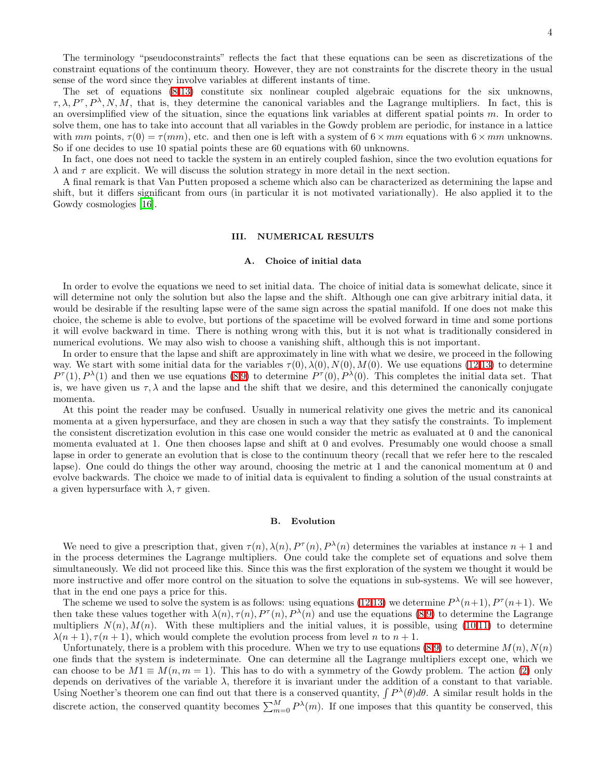The terminology "pseudoconstraints" reflects the fact that these equations can be seen as discretizations of the constraint equations of the continuum theory. However, they are not constraints for the discrete theory in the usual sense of the word since they involve variables at different instants of time.

The set of equations [\(8](#page-3-0)[-13\)](#page-3-1) constitute six nonlinear coupled algebraic equations for the six unknowns,  $\tau, \lambda, P^{\tau}, P^{\lambda}, N, M$ , that is, they determine the canonical variables and the Lagrange multipliers. In fact, this is an oversimplified view of the situation, since the equations link variables at different spatial points m. In order to solve them, one has to take into account that all variables in the Gowdy problem are periodic, for instance in a lattice with mm points,  $\tau(0) = \tau(mm)$ , etc. and then one is left with a system of  $6 \times mm$  equations with  $6 \times mm$  unknowns. So if one decides to use 10 spatial points these are 60 equations with 60 unknowns.

In fact, one does not need to tackle the system in an entirely coupled fashion, since the two evolution equations for  $\lambda$  and  $\tau$  are explicit. We will discuss the solution strategy in more detail in the next section.

A final remark is that Van Putten proposed a scheme which also can be characterized as determining the lapse and shift, but it differs significant from ours (in particular it is not motivated variationally). He also applied it to the Gowdy cosmologies [\[16](#page-10-15)].

### III. NUMERICAL RESULTS

### A. Choice of initial data

In order to evolve the equations we need to set initial data. The choice of initial data is somewhat delicate, since it will determine not only the solution but also the lapse and the shift. Although one can give arbitrary initial data, it would be desirable if the resulting lapse were of the same sign across the spatial manifold. If one does not make this choice, the scheme is able to evolve, but portions of the spacetime will be evolved forward in time and some portions it will evolve backward in time. There is nothing wrong with this, but it is not what is traditionally considered in numerical evolutions. We may also wish to choose a vanishing shift, although this is not important.

In order to ensure that the lapse and shift are approximately in line with what we desire, we proceed in the following way. We start with some initial data for the variables  $\tau(0), \lambda(0), N(0), M(0)$ . We use equations [\(12,13\)](#page-3-1) to determine  $P^{\tau}(1), P^{\lambda}(1)$  and then we use equations [\(8](#page-3-0)[,9\)](#page-3-2) to determine  $P^{\tau}(0), P^{\lambda}(0)$ . This completes the initial data set. That is, we have given us  $\tau, \lambda$  and the lapse and the shift that we desire, and this determined the canonically conjugate momenta.

At this point the reader may be confused. Usually in numerical relativity one gives the metric and its canonical momenta at a given hypersurface, and they are chosen in such a way that they satisfy the constraints. To implement the consistent discretization evolution in this case one would consider the metric as evaluated at 0 and the canonical momenta evaluated at 1. One then chooses lapse and shift at 0 and evolves. Presumably one would choose a small lapse in order to generate an evolution that is close to the continuum theory (recall that we refer here to the rescaled lapse). One could do things the other way around, choosing the metric at 1 and the canonical momentum at 0 and evolve backwards. The choice we made to of initial data is equivalent to finding a solution of the usual constraints at a given hypersurface with  $\lambda$ ,  $\tau$  given.

### B. Evolution

We need to give a prescription that, given  $\tau(n)$ ,  $\lambda(n)$ ,  $P^{\tau}(n)$ ,  $P^{\lambda}(n)$  determines the variables at instance  $n+1$  and in the process determines the Lagrange multipliers. One could take the complete set of equations and solve them simultaneously. We did not proceed like this. Since this was the first exploration of the system we thought it would be more instructive and offer more control on the situation to solve the equations in sub-systems. We will see however, that in the end one pays a price for this.

The scheme we used to solve the system is as follows: using equations [\(12,13\)](#page-3-1) we determine  $P^{\lambda}(n+1), P^{\tau}(n+1)$ . We then take these values together with  $\lambda(n)$ ,  $\tau(n)$ ,  $P^{\tau}(n)$ ,  $P^{\lambda}(n)$  and use the equations [\(8](#page-3-0)[,9\)](#page-3-2) to determine the Lagrange multipliers  $N(n)$ ,  $M(n)$ . With these multipliers and the initial values, it is possible, using [\(10,](#page-3-3)[11\)](#page-3-4) to determine  $\lambda(n+1), \tau(n+1)$ , which would complete the evolution process from level n to  $n+1$ .

Unfortunately, there is a problem with this procedure. When we try to use equations  $(8,9)$  $(8,9)$  to determine  $M(n)$ ,  $N(n)$ one finds that the system is indeterminate. One can determine all the Lagrange multipliers except one, which we can choose to be  $M1 \equiv M(n, m = 1)$ . This has to do with a symmetry of the Gowdy problem. The action [\(2\)](#page-2-0) only depends on derivatives of the variable  $\lambda$ , therefore it is invariant under the addition of a constant to that variable. Using Noether's theorem one can find out that there is a conserved quantity,  $\int P^{\lambda}(\theta) d\theta$ . A similar result holds in the discrete action, the conserved quantity becomes  $\sum_{m=0}^{M} P^{\lambda}(m)$ . If one imposes that this quantity be conserved, this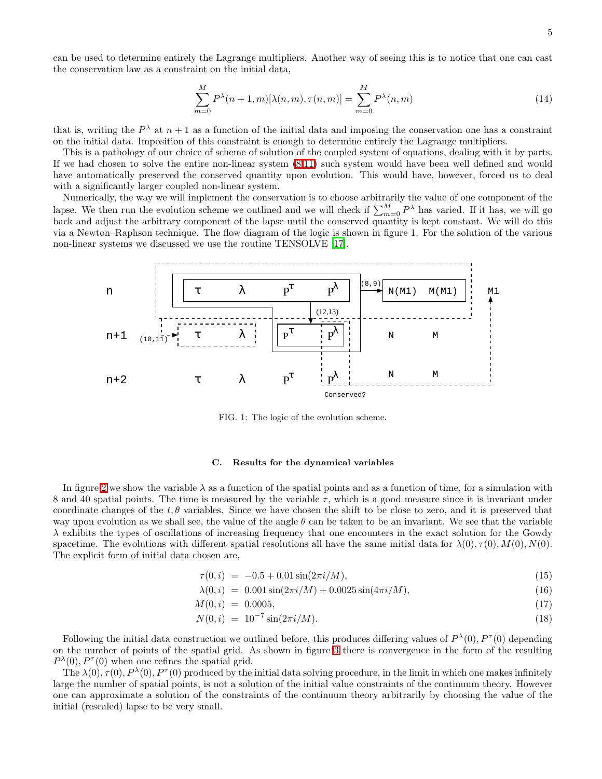can be used to determine entirely the Lagrange multipliers. Another way of seeing this is to notice that one can cast the conservation law as a constraint on the initial data,

$$
\sum_{m=0}^{M} P^{\lambda}(n+1,m)[\lambda(n,m),\tau(n,m)] = \sum_{m=0}^{M} P^{\lambda}(n,m)
$$
\n(14)

that is, writing the  $P^{\lambda}$  at  $n+1$  as a function of the initial data and imposing the conservation one has a constraint on the initial data. Imposition of this constraint is enough to determine entirely the Lagrange multipliers.

This is a pathology of our choice of scheme of solution of the coupled system of equations, dealing with it by parts. If we had chosen to solve the entire non-linear system [\(8](#page-3-0)[,11\)](#page-3-4) such system would have been well defined and would have automatically preserved the conserved quantity upon evolution. This would have, however, forced us to deal with a significantly larger coupled non-linear system.

Numerically, the way we will implement the conservation is to choose arbitrarily the value of one component of the lapse. We then run the evolution scheme we outlined and we will check if  $\sum_{m=0}^{M} P^{\lambda}$  has varied. If it has, we will go back and adjust the arbitrary component of the lapse until the conserved quantity is kept constant. We will do this via a Newton–Raphson technique. The flow diagram of the logic is shown in figure 1. For the solution of the various non-linear systems we discussed we use the routine TENSOLVE [\[17\]](#page-10-16).



FIG. 1: The logic of the evolution scheme.

### C. Results for the dynamical variables

In figure [2](#page-6-0) we show the variable  $\lambda$  as a function of the spatial points and as a function of time, for a simulation with 8 and 40 spatial points. The time is measured by the variable  $\tau$ , which is a good measure since it is invariant under coordinate changes of the  $t, \theta$  variables. Since we have chosen the shift to be close to zero, and it is preserved that way upon evolution as we shall see, the value of the angle  $\theta$  can be taken to be an invariant. We see that the variable  $\lambda$  exhibits the types of oscillations of increasing frequency that one encounters in the exact solution for the Gowdy spacetime. The evolutions with different spatial resolutions all have the same initial data for  $\lambda(0), \tau(0), M(0), N(0)$ . The explicit form of initial data chosen are,

$$
\tau(0,i) = -0.5 + 0.01 \sin(2\pi i/M), \tag{15}
$$

$$
\lambda(0,i) = 0.001 \sin(2\pi i/M) + 0.0025 \sin(4\pi i/M), \tag{16}
$$

$$
M(0,i) = 0.0005,\t(17)
$$

$$
N(0,i) = 10^{-7} \sin(2\pi i/M). \tag{18}
$$

Following the initial data construction we outlined before, this produces differing values of  $P^{\lambda}(0), P^{\tau}(0)$  depending on the number of points of the spatial grid. As shown in figure [3](#page-6-1) there is convergence in the form of the resulting  $P^{\lambda}(0), P^{\tau}(0)$  when one refines the spatial grid.

The  $\lambda(0), \tau(0), P^{\lambda}(0), P^{\tau}(0)$  produced by the initial data solving procedure, in the limit in which one makes infinitely large the number of spatial points, is not a solution of the initial value constraints of the continuum theory. However one can approximate a solution of the constraints of the continuum theory arbitrarily by choosing the value of the initial (rescaled) lapse to be very small.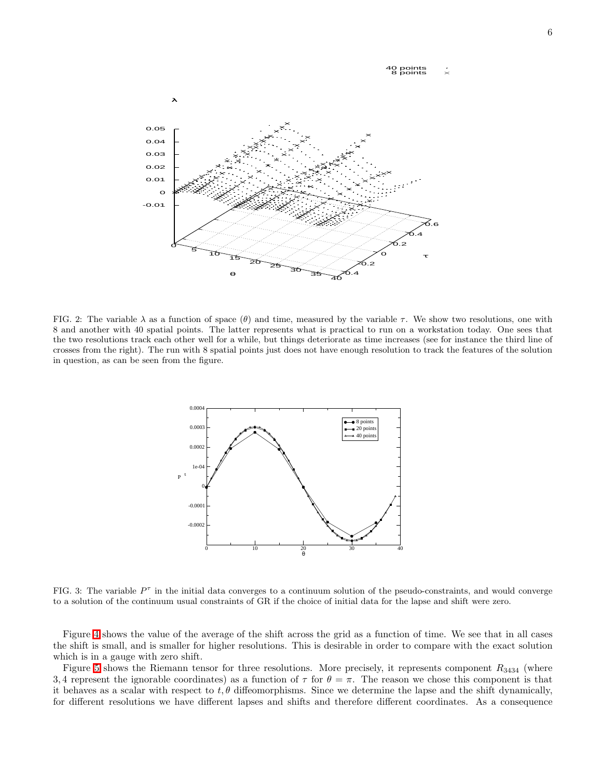### 40 points 8 points  $\dot{\times}$



<span id="page-6-0"></span>FIG. 2: The variable  $\lambda$  as a function of space  $(\theta)$  and time, measured by the variable  $\tau$ . We show two resolutions, one with 8 and another with 40 spatial points. The latter represents what is practical to run on a workstation today. One sees that the two resolutions track each other well for a while, but things deteriorate as time increases (see for instance the third line of crosses from the right). The run with 8 spatial points just does not have enough resolution to track the features of the solution in question, as can be seen from the figure.



<span id="page-6-1"></span>FIG. 3: The variable  $P^{\tau}$  in the initial data converges to a continuum solution of the pseudo-constraints, and would converge to a solution of the continuum usual constraints of GR if the choice of initial data for the lapse and shift were zero.

Figure [4](#page-7-0) shows the value of the average of the shift across the grid as a function of time. We see that in all cases the shift is small, and is smaller for higher resolutions. This is desirable in order to compare with the exact solution which is in a gauge with zero shift.

Figure [5](#page-7-1) shows the Riemann tensor for three resolutions. More precisely, it represents component  $R_{3434}$  (where 3, 4 represent the ignorable coordinates) as a function of  $\tau$  for  $\theta = \pi$ . The reason we chose this component is that it behaves as a scalar with respect to  $t, \theta$  diffeomorphisms. Since we determine the lapse and the shift dynamically, for different resolutions we have different lapses and shifts and therefore different coordinates. As a consequence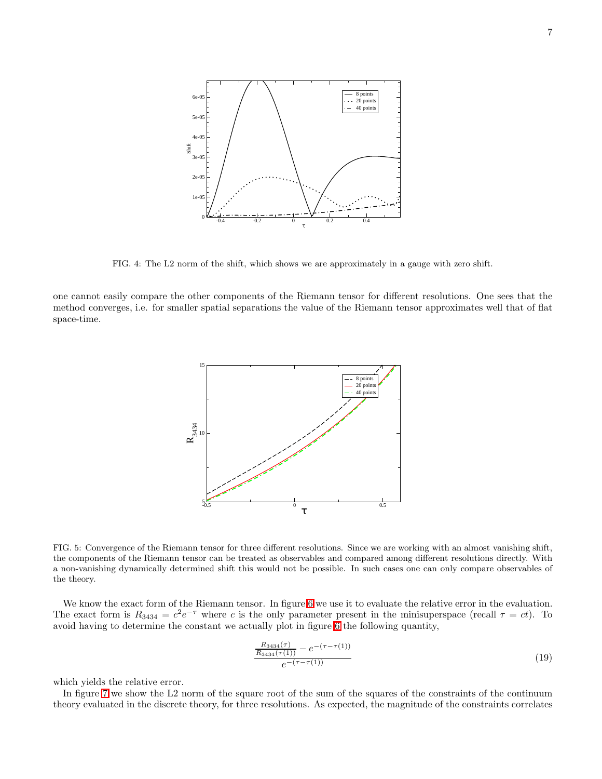

<span id="page-7-0"></span>FIG. 4: The L2 norm of the shift, which shows we are approximately in a gauge with zero shift.

one cannot easily compare the other components of the Riemann tensor for different resolutions. One sees that the method converges, i.e. for smaller spatial separations the value of the Riemann tensor approximates well that of flat space-time.



<span id="page-7-1"></span>FIG. 5: Convergence of the Riemann tensor for three different resolutions. Since we are working with an almost vanishing shift, the components of the Riemann tensor can be treated as observables and compared among different resolutions directly. With a non-vanishing dynamically determined shift this would not be possible. In such cases one can only compare observables of the theory.

We know the exact form of the Riemann tensor. In figure [6](#page-8-0) we use it to evaluate the relative error in the evaluation. The exact form is  $R_{3434} = c^2 e^{-\tau}$  where c is the only parameter present in the minisuperspace (recall  $\tau = ct$ ). To avoid having to determine the constant we actually plot in figure [6](#page-8-0) the following quantity,

$$
\frac{R_{3434}(\tau)}{R_{3434}(\tau(1))} - e^{-(\tau - \tau(1))}
$$
\n
$$
e^{-(\tau - \tau(1))}
$$
\n(19)

which yields the relative error.

In figure [7](#page-8-1) we show the L2 norm of the square root of the sum of the squares of the constraints of the continuum theory evaluated in the discrete theory, for three resolutions. As expected, the magnitude of the constraints correlates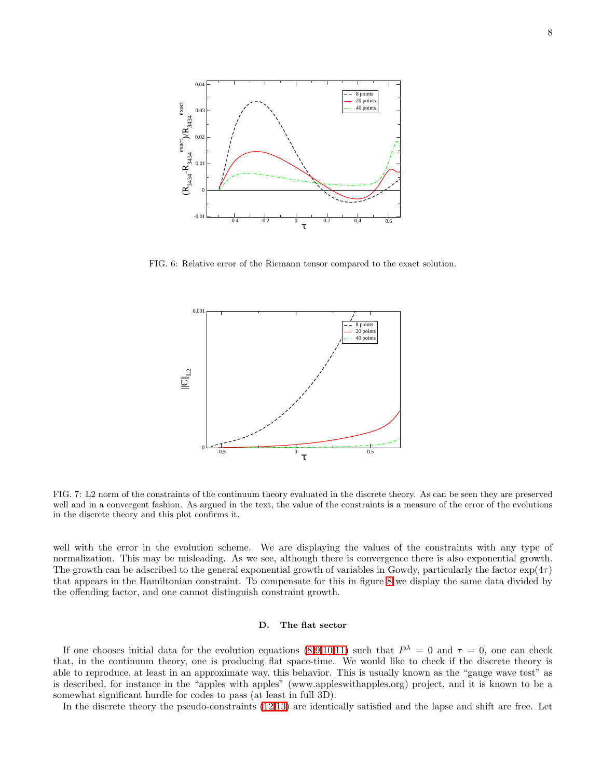

<span id="page-8-0"></span>FIG. 6: Relative error of the Riemann tensor compared to the exact solution.



<span id="page-8-1"></span>FIG. 7: L2 norm of the constraints of the continuum theory evaluated in the discrete theory. As can be seen they are preserved well and in a convergent fashion. As argued in the text, the value of the constraints is a measure of the error of the evolutions in the discrete theory and this plot confirms it.

well with the error in the evolution scheme. We are displaying the values of the constraints with any type of normalization. This may be misleading. As we see, although there is convergence there is also exponential growth. The growth can be adscribed to the general exponential growth of variables in Gowdy, particularly the factor  $\exp(4\tau)$ that appears in the Hamiltonian constraint. To compensate for this in figure [8](#page-9-0) we display the same data divided by the offending factor, and one cannot distinguish constraint growth.

### D. The flat sector

If one chooses initial data for the evolution equations  $(8,9,10,11)$  $(8,9,10,11)$  $(8,9,10,11)$  $(8,9,10,11)$  such that  $P^{\lambda} = 0$  and  $\tau = 0$ , one can check that, in the continuum theory, one is producing flat space-time. We would like to check if the discrete theory is able to reproduce, at least in an approximate way, this behavior. This is usually known as the "gauge wave test" as is described, for instance in the "apples with apples" (www.appleswithapples.org) project, and it is known to be a somewhat significant hurdle for codes to pass (at least in full 3D).

In the discrete theory the pseudo-constraints [\(12,13\)](#page-3-1) are identically satisfied and the lapse and shift are free. Let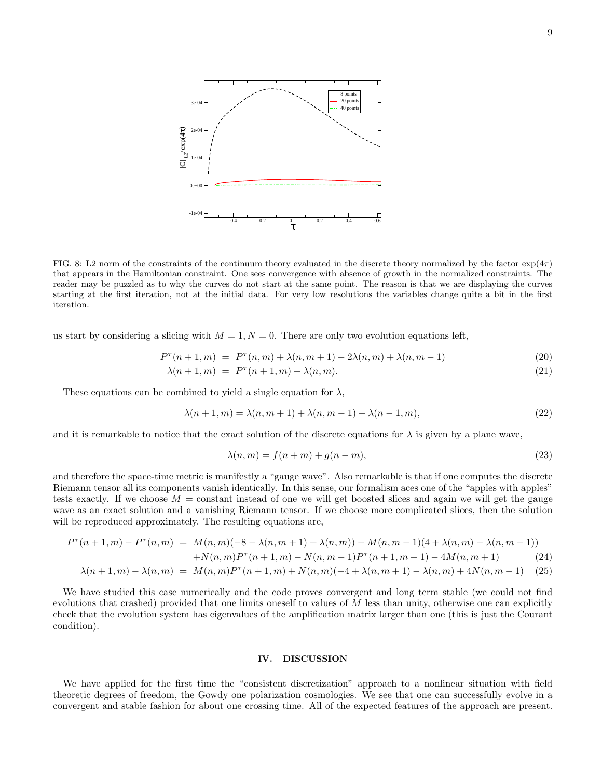

<span id="page-9-0"></span>FIG. 8: L2 norm of the constraints of the continuum theory evaluated in the discrete theory normalized by the factor  $\exp(4\tau)$ that appears in the Hamiltonian constraint. One sees convergence with absence of growth in the normalized constraints. The reader may be puzzled as to why the curves do not start at the same point. The reason is that we are displaying the curves starting at the first iteration, not at the initial data. For very low resolutions the variables change quite a bit in the first iteration.

us start by considering a slicing with  $M = 1, N = 0$ . There are only two evolution equations left,

$$
P^{\tau}(n+1,m) = P^{\tau}(n,m) + \lambda(n,m+1) - 2\lambda(n,m) + \lambda(n,m-1)
$$
\n(20)

$$
\lambda(n+1,m) = P^{\tau}(n+1,m) + \lambda(n,m). \tag{21}
$$

These equations can be combined to yield a single equation for  $\lambda$ ,

 $+$ 

$$
\lambda(n+1,m) = \lambda(n,m+1) + \lambda(n,m-1) - \lambda(n-1,m),\tag{22}
$$

and it is remarkable to notice that the exact solution of the discrete equations for  $\lambda$  is given by a plane wave,

$$
\lambda(n,m) = f(n+m) + g(n-m),\tag{23}
$$

and therefore the space-time metric is manifestly a "gauge wave". Also remarkable is that if one computes the discrete Riemann tensor all its components vanish identically. In this sense, our formalism aces one of the "apples with apples" tests exactly. If we choose  $M =$  constant instead of one we will get boosted slices and again we will get the gauge wave as an exact solution and a vanishing Riemann tensor. If we choose more complicated slices, then the solution will be reproduced approximately. The resulting equations are,

$$
P^{\tau}(n+1,m) - P^{\tau}(n,m) = M(n,m)(-8 - \lambda(n,m+1) + \lambda(n,m)) - M(n,m-1)(4 + \lambda(n,m) - \lambda(n,m-1))
$$

$$
N(n,m)P^{\tau}(n+1,m) - N(n,m-1)P^{\tau}(n+1,m-1) - 4M(n,m+1)
$$
 (24)

$$
\lambda(n+1,m) - \lambda(n,m) = M(n,m)P^{\tau}(n+1,m) + N(n,m)(-4+\lambda(n,m+1) - \lambda(n,m) + 4N(n,m-1)
$$
 (25)

We have studied this case numerically and the code proves convergent and long term stable (we could not find evolutions that crashed) provided that one limits oneself to values of  $M$  less than unity, otherwise one can explicitly check that the evolution system has eigenvalues of the amplification matrix larger than one (this is just the Courant condition).

### IV. DISCUSSION

We have applied for the first time the "consistent discretization" approach to a nonlinear situation with field theoretic degrees of freedom, the Gowdy one polarization cosmologies. We see that one can successfully evolve in a convergent and stable fashion for about one crossing time. All of the expected features of the approach are present.